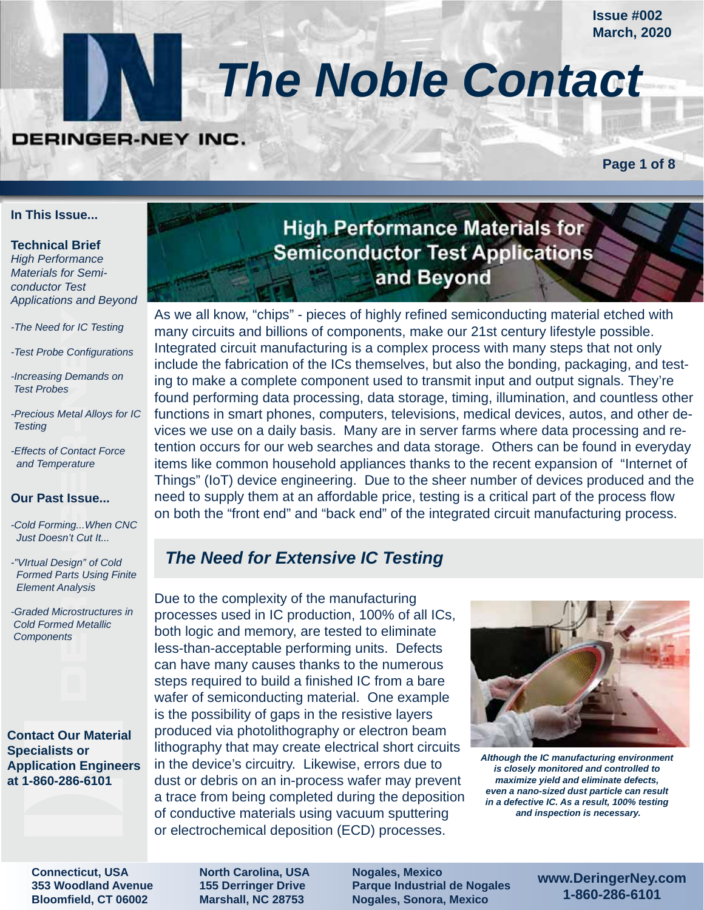**Issue #002 March, 2020**

# *The Noble Contact*

## DERINGER-NEY INC.

**Page 1 of 8**

#### **In This Issue...**

#### **Technical Brief**

*High Performance Materials for Semiconductor Test Applications and Beyond*

- *-The Need for IC Testing*
- *-Test Probe Configurations*
- *-Increasing Demands on Test Probes*
- *-Precious Metal Alloys for IC Testing*
- *-Effects of Contact Force and Temperature*

#### **Our Past Issue...**

*-Cold Forming...When CNC Just Doesn't Cut It...*

- *-"VIrtual Design" of Cold Formed Parts Using Finite Element Analysis*
- *-Graded Microstructures in Cold Formed Metallic Components*

#### **Contact Our Material Specialists or Application Engineers at 1-860-286-6101**

## **High Performance Materials for Semiconductor Test Applications** and Beyond

As we all know, "chips" - pieces of highly refined semiconducting material etched with many circuits and billions of components, make our 21st century lifestyle possible. Integrated circuit manufacturing is a complex process with many steps that not only include the fabrication of the ICs themselves, but also the bonding, packaging, and testing to make a complete component used to transmit input and output signals. They're found performing data processing, data storage, timing, illumination, and countless other functions in smart phones, computers, televisions, medical devices, autos, and other devices we use on a daily basis. Many are in server farms where data processing and retention occurs for our web searches and data storage. Others can be found in everyday items like common household appliances thanks to the recent expansion of "Internet of Things" (IoT) device engineering. Due to the sheer number of devices produced and the need to supply them at an affordable price, testing is a critical part of the process flow on both the "front end" and "back end" of the integrated circuit manufacturing process.

## *The Need for Extensive IC Testing*

Due to the complexity of the manufacturing processes used in IC production, 100% of all ICs, both logic and memory, are tested to eliminate less-than-acceptable performing units. Defects can have many causes thanks to the numerous steps required to build a finished IC from a bare wafer of semiconducting material. One example is the possibility of gaps in the resistive layers produced via photolithography or electron beam lithography that may create electrical short circuits in the device's circuitry. Likewise, errors due to dust or debris on an in-process wafer may prevent a trace from being completed during the deposition of conductive materials using vacuum sputtering or electrochemical deposition (ECD) processes.



*Although the IC manufacturing environment is closely monitored and controlled to maximize yield and eliminate defects, even a nano-sized dust particle can result in a defective IC. As a result, 100% testing and inspection is necessary.*

**Connecticut, USA 353 Woodland Avenue Bloomfield, CT 06002**

**North Carolina, USA 155 Derringer Drive Marshall, NC 28753**

**Nogales, Mexico Parque Industrial de Nogales Nogales, Sonora, Mexico**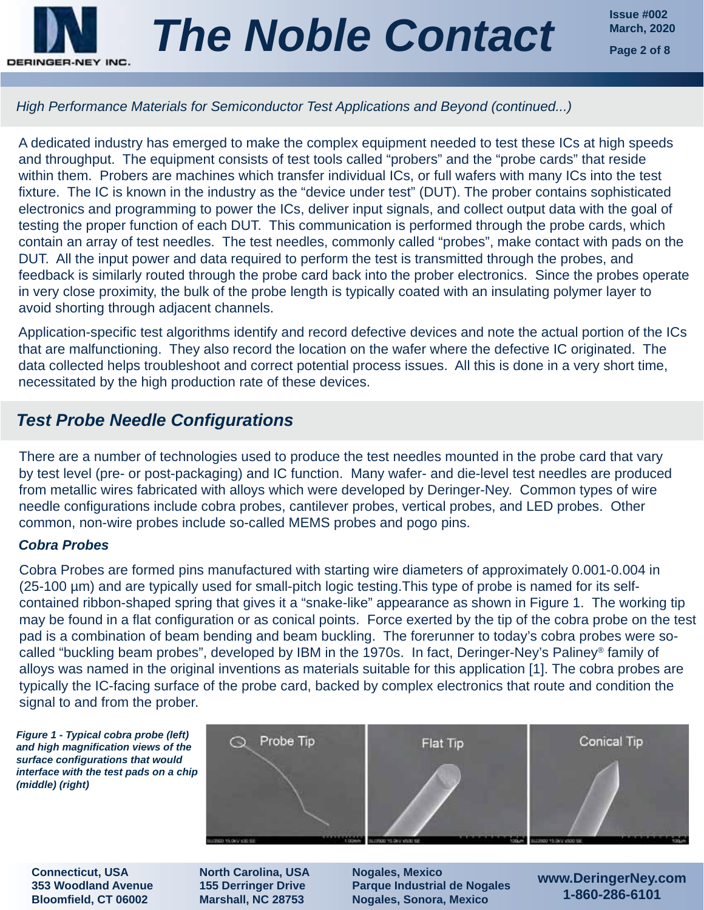

**Issue #002**

## *High Performance Materials for Semiconductor Test Applications and Beyond (continued...)*

A dedicated industry has emerged to make the complex equipment needed to test these ICs at high speeds and throughput. The equipment consists of test tools called "probers" and the "probe cards" that reside within them. Probers are machines which transfer individual ICs, or full wafers with many ICs into the test fixture. The IC is known in the industry as the "device under test" (DUT). The prober contains sophisticated electronics and programming to power the ICs, deliver input signals, and collect output data with the goal of testing the proper function of each DUT. This communication is performed through the probe cards, which contain an array of test needles. The test needles, commonly called "probes", make contact with pads on the DUT. All the input power and data required to perform the test is transmitted through the probes, and feedback is similarly routed through the probe card back into the prober electronics. Since the probes operate in very close proximity, the bulk of the probe length is typically coated with an insulating polymer layer to avoid shorting through adjacent channels.

Application-specific test algorithms identify and record defective devices and note the actual portion of the ICs that are malfunctioning. They also record the location on the wafer where the defective IC originated. The data collected helps troubleshoot and correct potential process issues. All this is done in a very short time, necessitated by the high production rate of these devices.

## *Test Probe Needle Configurations*

There are a number of technologies used to produce the test needles mounted in the probe card that vary by test level (pre- or post-packaging) and IC function. Many wafer- and die-level test needles are produced from metallic wires fabricated with alloys which were developed by Deringer-Ney. Common types of wire needle configurations include cobra probes, cantilever probes, vertical probes, and LED probes. Other common, non-wire probes include so-called MEMS probes and pogo pins.

## *Cobra Probes*

Cobra Probes are formed pins manufactured with starting wire diameters of approximately 0.001-0.004 in (25-100 µm) and are typically used for small-pitch logic testing.This type of probe is named for its selfcontained ribbon-shaped spring that gives it a "snake-like" appearance as shown in Figure 1. The working tip may be found in a flat configuration or as conical points. Force exerted by the tip of the cobra probe on the test pad is a combination of beam bending and beam buckling. The forerunner to today's cobra probes were socalled "buckling beam probes", developed by IBM in the 1970s. In fact, Deringer-Ney's Paliney® family of alloys was named in the original inventions as materials suitable for this application [1]. The cobra probes are typically the IC-facing surface of the probe card, backed by complex electronics that route and condition the signal to and from the prober.





**Connecticut, USA 353 Woodland Avenue Bloomfield, CT 06002**

**North Carolina, USA 155 Derringer Drive Marshall, NC 28753**

**Nogales, Mexico Parque Industrial de Nogales Nogales, Sonora, Mexico**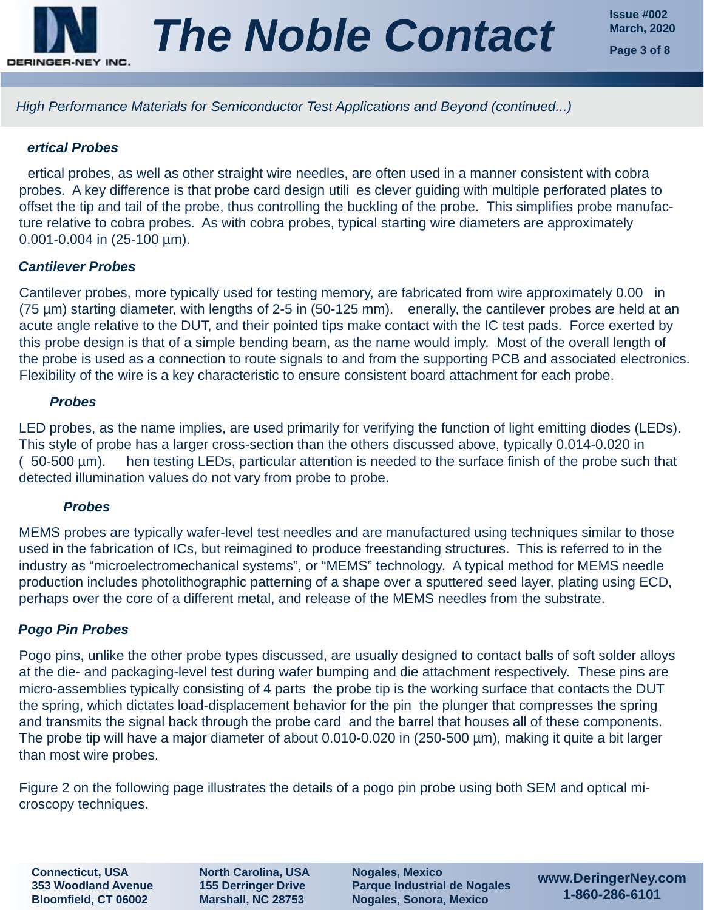

## *ertical Probes*

ertical probes, as well as other straight wire needles, are often used in a manner consistent with cobra probes. A key difference is that probe card design utili es clever guiding with multiple perforated plates to offset the tip and tail of the probe, thus controlling the buckling of the probe. This simplifies probe manufacture relative to cobra probes. As with cobra probes, typical starting wire diameters are approximately 0.001-0.004 in (25-100 µm).

## *Cantilever Probes*

Cantilever probes, more typically used for testing memory, are fabricated from wire approximately 0.00 in (75 µm) starting diameter, with lengths of 2-5 in (50-125 mm). enerally, the cantilever probes are held at an acute angle relative to the DUT, and their pointed tips make contact with the IC test pads. Force exerted by this probe design is that of a simple bending beam, as the name would imply. Most of the overall length of the probe is used as a connection to route signals to and from the supporting PCB and associated electronics. Flexibility of the wire is a key characteristic to ensure consistent board attachment for each probe.

## *Probes*

LED probes, as the name implies, are used primarily for verifying the function of light emitting diodes (LEDs). This style of probe has a larger cross-section than the others discussed above, typically 0.014-0.020 in ( 50-500 µm). hen testing LEDs, particular attention is needed to the surface finish of the probe such that detected illumination values do not vary from probe to probe.

#### *Probes*

MEMS probes are typically wafer-level test needles and are manufactured using techniques similar to those used in the fabrication of ICs, but reimagined to produce freestanding structures. This is referred to in the industry as "microelectromechanical systems", or "MEMS" technology. A typical method for MEMS needle production includes photolithographic patterning of a shape over a sputtered seed layer, plating using ECD, perhaps over the core of a different metal, and release of the MEMS needles from the substrate.

## *Pogo Pin Probes*

Pogo pins, unlike the other probe types discussed, are usually designed to contact balls of soft solder alloys at the die- and packaging-level test during wafer bumping and die attachment respectively. These pins are micro-assemblies typically consisting of 4 parts the probe tip is the working surface that contacts the DUT the spring, which dictates load-displacement behavior for the pin the plunger that compresses the spring and transmits the signal back through the probe card and the barrel that houses all of these components. The probe tip will have a major diameter of about 0.010-0.020 in (250-500 µm), making it quite a bit larger than most wire probes.

Figure 2 on the following page illustrates the details of a pogo pin probe using both SEM and optical microscopy techniques.

**Connecticut, USA 353 Woodland Avenue Bloomfield, CT 06002**

**North Carolina, USA 155 Derringer Drive Marshall, NC 28753**

**Nogales, Mexico Parque Industrial de Nogales Nogales, Sonora, Mexico**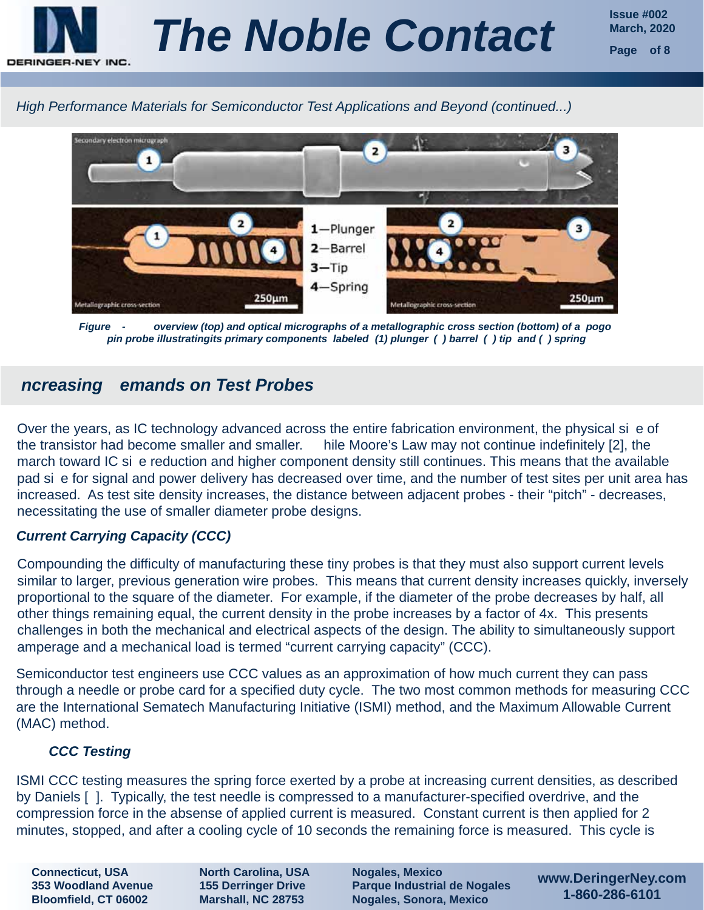



*Figure - overview (top) and optical micrographs of a metallographic cross section (bottom) of a pogo pin probe illustratingits primary components labeled (1) plunger ( ) barrel ( ) tip and ( ) spring*

## *ncreasing emands on Test Probes*

Over the years, as IC technology advanced across the entire fabrication environment, the physical si e of the transistor had become smaller and smaller. hile Moore's Law may not continue indefinitely [2], the march toward IC si e reduction and higher component density still continues. This means that the available pad si e for signal and power delivery has decreased over time, and the number of test sites per unit area has increased. As test site density increases, the distance between adjacent probes - their "pitch" - decreases, necessitating the use of smaller diameter probe designs.

## *Current Carrying Capacity (CCC)*

Compounding the difficulty of manufacturing these tiny probes is that they must also support current levels similar to larger, previous generation wire probes. This means that current density increases quickly, inversely proportional to the square of the diameter. For example, if the diameter of the probe decreases by half, all other things remaining equal, the current density in the probe increases by a factor of 4x. This presents challenges in both the mechanical and electrical aspects of the design. The ability to simultaneously support amperage and a mechanical load is termed "current carrying capacity" (CCC).

Semiconductor test engineers use CCC values as an approximation of how much current they can pass through a needle or probe card for a specified duty cycle. The two most common methods for measuring CCC are the International Sematech Manufacturing Initiative (ISMI) method, and the Maximum Allowable Current (MAC) method.

## *CCC Testing*

ISMI CCC testing measures the spring force exerted by a probe at increasing current densities, as described by Daniels [ ]. Typically, the test needle is compressed to a manufacturer-specified overdrive, and the compression force in the absense of applied current is measured. Constant current is then applied for 2 minutes, stopped, and after a cooling cycle of 10 seconds the remaining force is measured. This cycle is

**Connecticut, USA 353 Woodland Avenue Bloomfield, CT 06002**

**North Carolina, USA 155 Derringer Drive Marshall, NC 28753**

**Nogales, Mexico Parque Industrial de Nogales Nogales, Sonora, Mexico**

**www.DeringerNey.com 1-860-286-6101**

**Issue #002**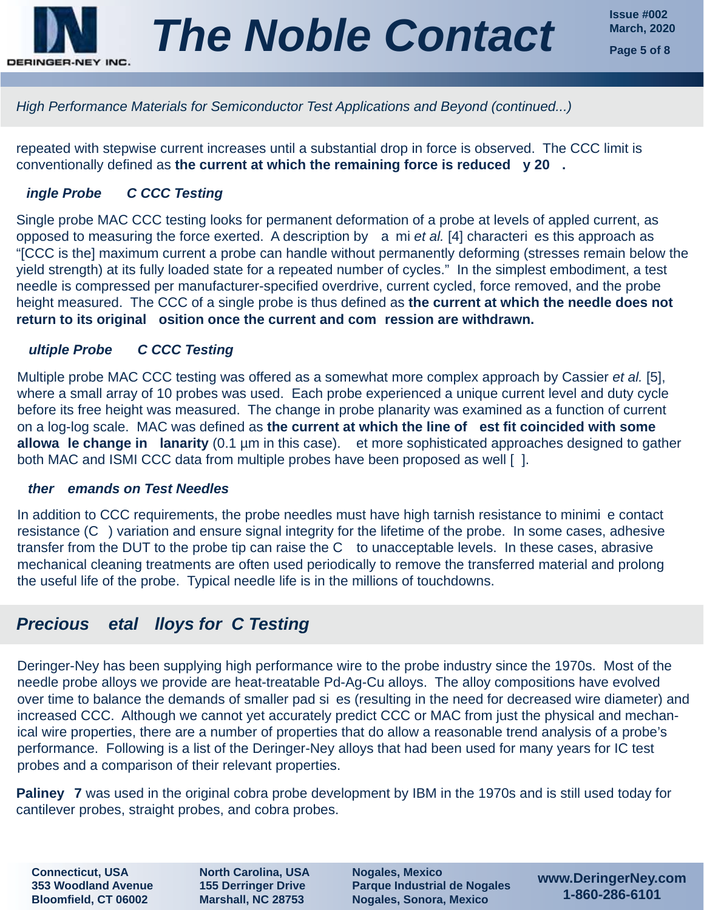

repeated with stepwise current increases until a substantial drop in force is observed. The CCC limit is conventionally defined as **the current at which the remaining force is reduced y 20 .**

## *ingle Probe C CCC Testing*

Single probe MAC CCC testing looks for permanent deformation of a probe at levels of appled current, as opposed to measuring the force exerted. A description by a mi *et al.* [4] characteri es this approach as "[CCC is the] maximum current a probe can handle without permanently deforming (stresses remain below the yield strength) at its fully loaded state for a repeated number of cycles." In the simplest embodiment, a test needle is compressed per manufacturer-specified overdrive, current cycled, force removed, and the probe height measured. The CCC of a single probe is thus defined as **the current at which the needle does not return to its original osition once the current and com ression are withdrawn.**

## *ultiple Probe C CCC Testing*

Multiple probe MAC CCC testing was offered as a somewhat more complex approach by Cassier *et al.* [5], where a small array of 10 probes was used. Each probe experienced a unique current level and duty cycle before its free height was measured. The change in probe planarity was examined as a function of current on a log-log scale. MAC was defined as **the current at which the line of est fit coincided with some allowa le change in lanarity** (0.1 µm in this case). et more sophisticated approaches designed to gather both MAC and ISMI CCC data from multiple probes have been proposed as well [ ].

#### *ther emands on Test Needles*

In addition to CCC requirements, the probe needles must have high tarnish resistance to minimi e contact resistance (C ) variation and ensure signal integrity for the lifetime of the probe. In some cases, adhesive transfer from the DUT to the probe tip can raise the C to unacceptable levels. In these cases, abrasive mechanical cleaning treatments are often used periodically to remove the transferred material and prolong the useful life of the probe. Typical needle life is in the millions of touchdowns.

## *Precious etal lloys for C Testing*

Deringer-Ney has been supplying high performance wire to the probe industry since the 1970s. Most of the needle probe alloys we provide are heat-treatable Pd-Ag-Cu alloys. The alloy compositions have evolved over time to balance the demands of smaller pad si es (resulting in the need for decreased wire diameter) and increased CCC. Although we cannot yet accurately predict CCC or MAC from just the physical and mechanical wire properties, there are a number of properties that do allow a reasonable trend analysis of a probe's performance. Following is a list of the Deringer-Ney alloys that had been used for many years for IC test probes and a comparison of their relevant properties.

**Paliney 7** was used in the original cobra probe development by IBM in the 1970s and is still used today for cantilever probes, straight probes, and cobra probes.

**Connecticut, USA 353 Woodland Avenue Bloomfield, CT 06002**

**North Carolina, USA 155 Derringer Drive Marshall, NC 28753**

**Nogales, Mexico Parque Industrial de Nogales Nogales, Sonora, Mexico**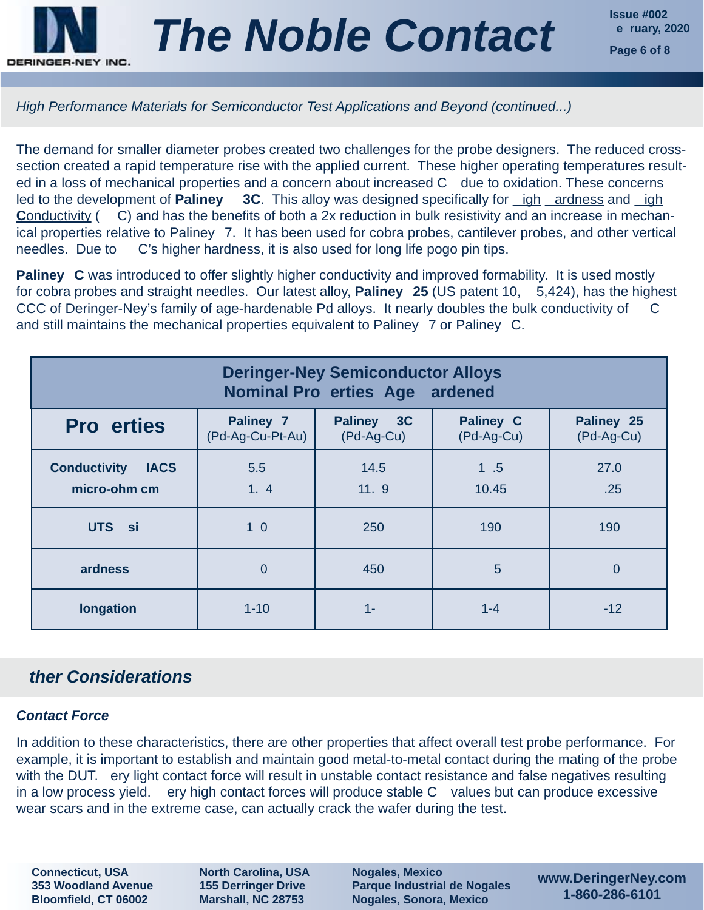

The demand for smaller diameter probes created two challenges for the probe designers. The reduced crosssection created a rapid temperature rise with the applied current. These higher operating temperatures resulted in a loss of mechanical properties and a concern about increased C due to oxidation. These concerns led to the development of **Paliney** 3C. This alloy was designed specifically for *igh ardness* and *igh* **Conductivity (C) and has the benefits of both a 2x reduction in bulk resistivity and an increase in mechan**ical properties relative to Paliney 7. It has been used for cobra probes, cantilever probes, and other vertical needles. Due to C's higher hardness, it is also used for long life pogo pin tips.

**Paliney C** was introduced to offer slightly higher conductivity and improved formability. It is used mostly for cobra probes and straight needles. Our latest alloy, **Paliney 25** (US patent 10, 5,424), has the highest CCC of Deringer-Ney's family of age-hardenable Pd alloys. It nearly doubles the bulk conductivity of and still maintains the mechanical properties equivalent to Paliney 7 or Paliney C.

| <b>Deringer-Ney Semiconductor Alloys</b><br><b>Nominal Pro erties Age ardened</b> |                               |                                    |                                |                          |
|-----------------------------------------------------------------------------------|-------------------------------|------------------------------------|--------------------------------|--------------------------|
| <b>Pro erties</b>                                                                 | Paliney 7<br>(Pd-Ag-Cu-Pt-Au) | 3C<br><b>Paliney</b><br>(Pd-Ag-Cu) | <b>Paliney C</b><br>(Pd-Ag-Cu) | Paliney 25<br>(Pd-Ag-Cu) |
| <b>Conductivity</b><br><b>IACS</b><br>micro-ohm cm                                | 5.5<br>1, 4                   | 14.5<br>11.9                       | 1.5<br>10.45                   | 27.0<br>.25              |
| UTS si                                                                            | 1 <sub>0</sub>                | 250                                | 190                            | 190                      |
| ardness                                                                           | $\overline{0}$                | 450                                | 5                              | $\overline{0}$           |
| longation                                                                         | $1 - 10$                      | 1-                                 | $1 - 4$                        | $-12$                    |

## *ther Considerations*

## *Contact Force*

In addition to these characteristics, there are other properties that affect overall test probe performance. For example, it is important to establish and maintain good metal-to-metal contact during the mating of the probe with the DUT. ery light contact force will result in unstable contact resistance and false negatives resulting in a low process yield. ery high contact forces will produce stable C values but can produce excessive wear scars and in the extreme case, can actually crack the wafer during the test.

**Connecticut, USA 353 Woodland Avenue Bloomfield, CT 06002**

**North Carolina, USA 155 Derringer Drive Marshall, NC 28753**

**Nogales, Mexico Parque Industrial de Nogales Nogales, Sonora, Mexico**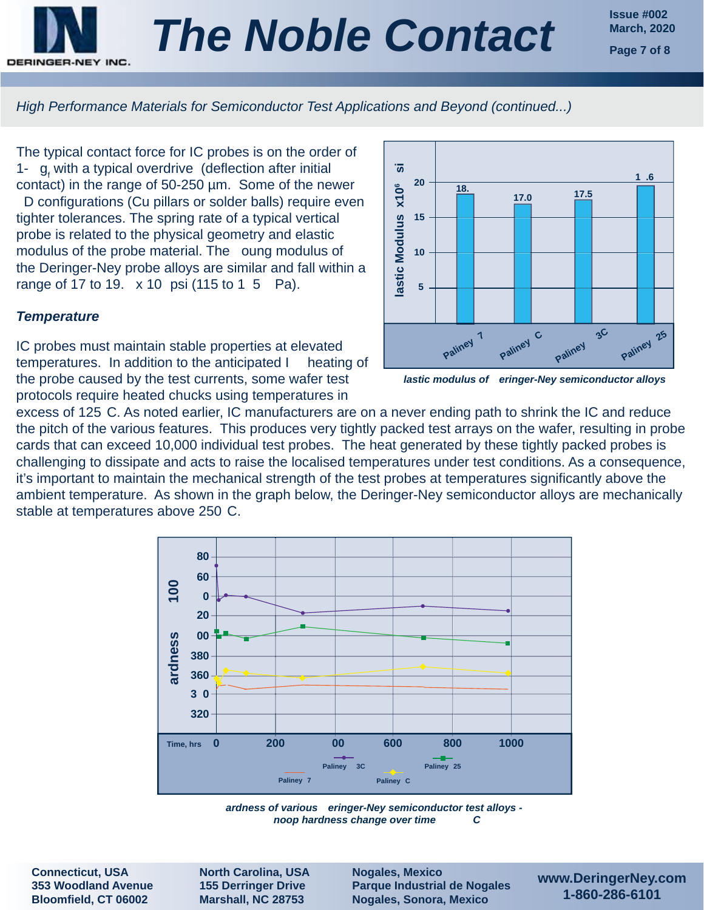

**Issue #002**

*High Performance Materials for Semiconductor Test Applications and Beyond (continued...)*

The typical contact force for IC probes is on the order of 1-  $g_f$  with a typical overdrive (deflection after initial contact) in the range of 50-250 µm. Some of the newer D configurations (Cu pillars or solder balls) require even tighter tolerances. The spring rate of a typical vertical probe is related to the physical geometry and elastic modulus of the probe material. The oung modulus of the Deringer-Ney probe alloys are similar and fall within a range of 17 to 19. x 10 psi (115 to 1 5 Pa).

#### *Temperature*

IC probes must maintain stable properties at elevated temperatures. In addition to the anticipated I heating of the probe caused by the test currents, some wafer test protocols require heated chucks using temperatures in



*lastic modulus of eringer-Ney semiconductor alloys*

excess of 125 C. As noted earlier, IC manufacturers are on a never ending path to shrink the IC and reduce the pitch of the various features. This produces very tightly packed test arrays on the wafer, resulting in probe cards that can exceed 10,000 individual test probes. The heat generated by these tightly packed probes is challenging to dissipate and acts to raise the localised temperatures under test conditions. As a consequence, it's important to maintain the mechanical strength of the test probes at temperatures significantly above the ambient temperature. As shown in the graph below, the Deringer-Ney semiconductor alloys are mechanically stable at temperatures above 250 C.



*ardness of various eringer-Ney semiconductor test alloys noop hardness change over time C*

**Connecticut, USA 353 Woodland Avenue Bloomfield, CT 06002**

**North Carolina, USA 155 Derringer Drive Marshall, NC 28753**

**Nogales, Mexico Parque Industrial de Nogales Nogales, Sonora, Mexico**